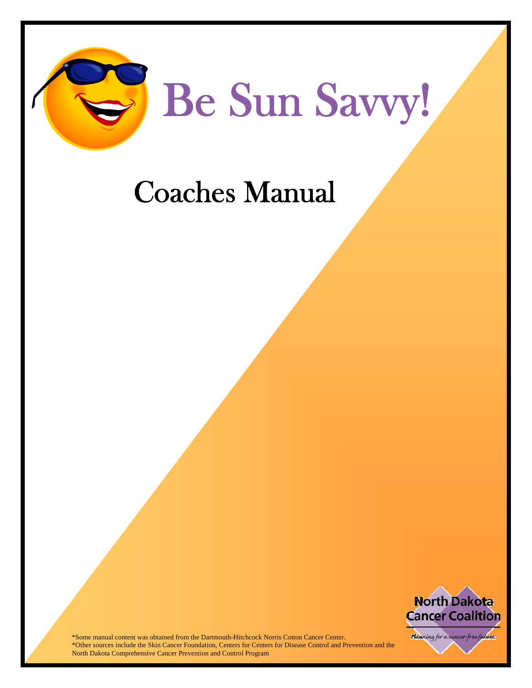

#### Coaches Manual



\*Some manual content was obtained from the Dartmouth-Hitchcock Norris Cotton Cancer Center. \*Other sources include the Skin Cancer Foundation, Centers for Centers for Disease Control and Prevention and the North Dakota Comprehensive Cancer Prevention and Control Program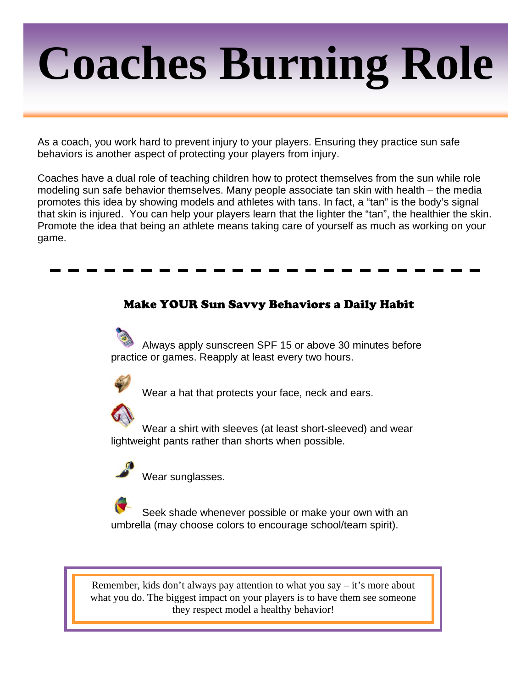# **Coaches Burning Role**

As a coach, you work hard to prevent injury to your players. Ensuring they practice sun safe behaviors is another aspect of protecting your players from injury.

Coaches have a dual role of teaching children how to protect themselves from the sun while role modeling sun safe behavior themselves. Many people associate tan skin with health – the media promotes this idea by showing models and athletes with tans. In fact, a "tan" is the body's signal that skin is injured. You can help your players learn that the lighter the "tan", the healthier the skin. Promote the idea that being an athlete means taking care of yourself as much as working on your game.

#### Make YOUR Sun Savvy Behaviors a Daily Habit

 Always apply sunscreen SPF 15 or above 30 minutes before practice or games. Reapply at least every two hours.



Wear a hat that protects your face, neck and ears.

 Wear a shirt with sleeves (at least short-sleeved) and wear lightweight pants rather than shorts when possible.



Wear sunglasses.

 Seek shade whenever possible or make your own with an umbrella (may choose colors to encourage school/team spirit).

Remember, kids don't always pay attention to what you say – it's more about what you do. The biggest impact on your players is to have them see someone they respect model a healthy behavior!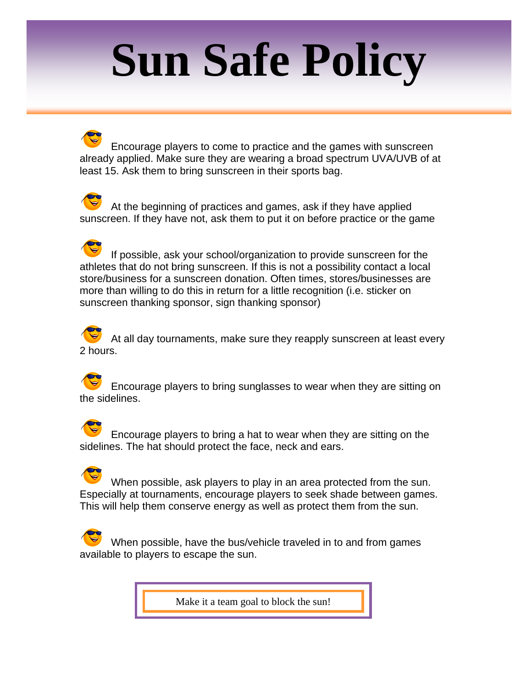### **Sun Safe Policy**

 Encourage players to come to practice and the games with sunscreen already applied. Make sure they are wearing a broad spectrum UVA/UVB of at least 15. Ask them to bring sunscreen in their sports bag.

At the beginning of practices and games, ask if they have applied sunscreen. If they have not, ask them to put it on before practice or the game

 If possible, ask your school/organization to provide sunscreen for the athletes that do not bring sunscreen. If this is not a possibility contact a local store/business for a sunscreen donation. Often times, stores/businesses are more than willing to do this in return for a little recognition (i.e. sticker on sunscreen thanking sponsor, sign thanking sponsor)

 At all day tournaments, make sure they reapply sunscreen at least every 2 hours.

 Encourage players to bring sunglasses to wear when they are sitting on the sidelines.

 Encourage players to bring a hat to wear when they are sitting on the sidelines. The hat should protect the face, neck and ears.

 When possible, ask players to play in an area protected from the sun. Especially at tournaments, encourage players to seek shade between games. This will help them conserve energy as well as protect them from the sun.

 When possible, have the bus/vehicle traveled in to and from games available to players to escape the sun.

Make it a team goal to block the sun!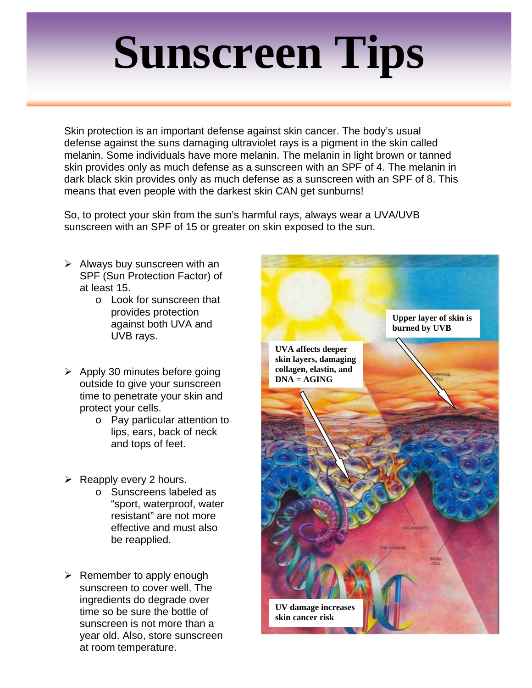### **Sunscreen Tips**

Skin protection is an important defense against skin cancer. The body's usual defense against the suns damaging ultraviolet rays is a pigment in the skin called melanin. Some individuals have more melanin. The melanin in light brown or tanned skin provides only as much defense as a sunscreen with an SPF of 4. The melanin in dark black skin provides only as much defense as a sunscreen with an SPF of 8. This means that even people with the darkest skin CAN get sunburns!

So, to protect your skin from the sun's harmful rays, always wear a UVA/UVB sunscreen with an SPF of 15 or greater on skin exposed to the sun.

- $\triangleright$  Always buy sunscreen with an SPF (Sun Protection Factor) of at least 15.
	- o Look for sunscreen that provides protection against both UVA and UVB rays.
- $\triangleright$  Apply 30 minutes before going outside to give your sunscreen time to penetrate your skin and protect your cells.
	- o Pay particular attention to lips, ears, back of neck and tops of feet.
- $\triangleright$  Reapply every 2 hours.
	- o Sunscreens labeled as "sport, waterproof, water resistant" are not more effective and must also be reapplied.
- $\triangleright$  Remember to apply enough sunscreen to cover well. The ingredients do degrade over time so be sure the bottle of sunscreen is not more than a year old. Also, store sunscreen at room temperature.